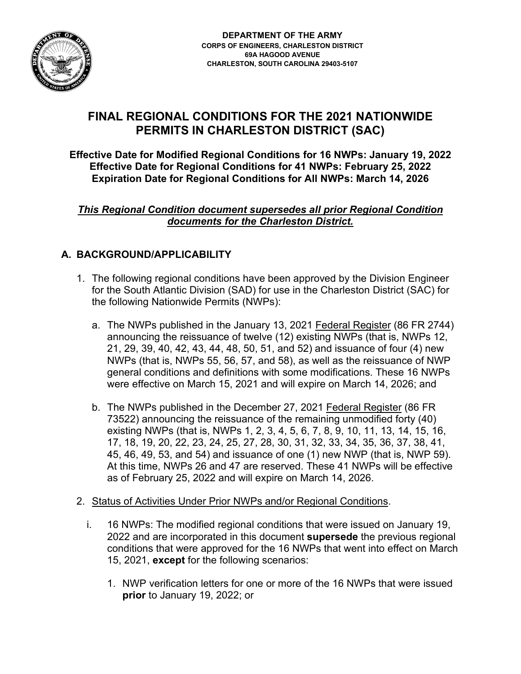

# **FINAL REGIONAL CONDITIONS FOR THE 2021 NATIONWIDE PERMITS IN CHARLESTON DISTRICT (SAC)**

**Effective Date for Modified Regional Conditions for 16 NWPs: January 19, 2022 Effective Date for Regional Conditions for 41 NWPs: February 25, 2022 Expiration Date for Regional Conditions for All NWPs: March 14, 2026**

*This Regional Condition document supersedes all prior Regional Condition documents for the Charleston District.* 

## **A. BACKGROUND/APPLICABILITY**

- 1. The following regional conditions have been approved by the Division Engineer for the South Atlantic Division (SAD) for use in the Charleston District (SAC) for the following Nationwide Permits (NWPs):
	- a. The NWPs published in the January 13, 2021 Federal Register (86 FR 2744) announcing the reissuance of twelve (12) existing NWPs (that is, NWPs 12, 21, 29, 39, 40, 42, 43, 44, 48, 50, 51, and 52) and issuance of four (4) new NWPs (that is, NWPs 55, 56, 57, and 58), as well as the reissuance of NWP general conditions and definitions with some modifications. These 16 NWPs were effective on March 15, 2021 and will expire on March 14, 2026; and
	- b. The NWPs published in the December 27, 2021 Federal Register (86 FR 73522) announcing the reissuance of the remaining unmodified forty (40) existing NWPs (that is, NWPs 1, 2, 3, 4, 5, 6, 7, 8, 9, 10, 11, 13, 14, 15, 16, 17, 18, 19, 20, 22, 23, 24, 25, 27, 28, 30, 31, 32, 33, 34, 35, 36, 37, 38, 41, 45, 46, 49, 53, and 54) and issuance of one (1) new NWP (that is, NWP 59). At this time, NWPs 26 and 47 are reserved. These 41 NWPs will be effective as of February 25, 2022 and will expire on March 14, 2026.
- 2. Status of Activities Under Prior NWPs and/or Regional Conditions.
	- i. 16 NWPs: The modified regional conditions that were issued on January 19, 2022 and are incorporated in this document **supersede** the previous regional conditions that were approved for the 16 NWPs that went into effect on March 15, 2021, **except** for the following scenarios:
		- 1. NWP verification letters for one or more of the 16 NWPs that were issued **prior** to January 19, 2022; or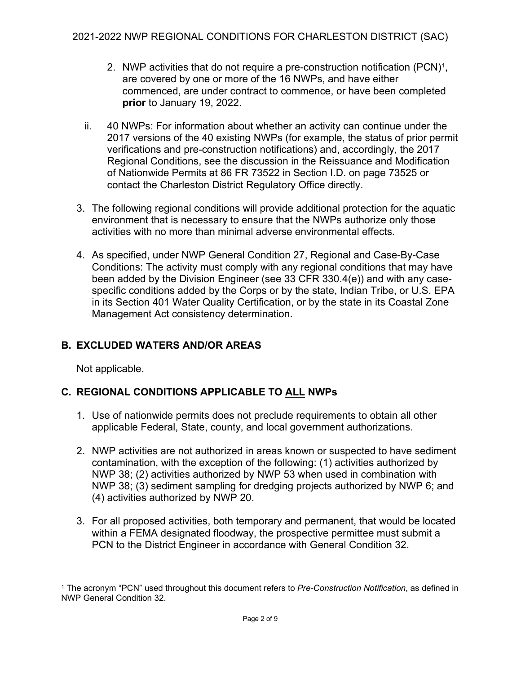- 2. NWP activities that do not require a pre-construction notification  $(PCN)^1$  $(PCN)^1$ , are covered by one or more of the 16 NWPs, and have either commenced, are under contract to commence, or have been completed **prior** to January 19, 2022.
- ii. 40 NWPs: For information about whether an activity can continue under the 2017 versions of the 40 existing NWPs (for example, the status of prior permit verifications and pre-construction notifications) and, accordingly, the 2017 Regional Conditions, see the discussion in the Reissuance and Modification of Nationwide Permits at 86 FR 73522 in Section I.D. on page 73525 or contact the Charleston District Regulatory Office directly.
- 3. The following regional conditions will provide additional protection for the aquatic environment that is necessary to ensure that the NWPs authorize only those activities with no more than minimal adverse environmental effects.
- 4. As specified, under NWP General Condition 27, Regional and Case-By-Case Conditions: The activity must comply with any regional conditions that may have been added by the Division Engineer (see 33 CFR 330.4(e)) and with any casespecific conditions added by the Corps or by the state, Indian Tribe, or U.S. EPA in its Section 401 Water Quality Certification, or by the state in its Coastal Zone Management Act consistency determination.

## **B. EXCLUDED WATERS AND/OR AREAS**

Not applicable.

## **C. REGIONAL CONDITIONS APPLICABLE TO ALL NWPs**

- 1. Use of nationwide permits does not preclude requirements to obtain all other applicable Federal, State, county, and local government authorizations.
- 2. NWP activities are not authorized in areas known or suspected to have sediment contamination, with the exception of the following: (1) activities authorized by NWP 38; (2) activities authorized by NWP 53 when used in combination with NWP 38; (3) sediment sampling for dredging projects authorized by NWP 6; and (4) activities authorized by NWP 20.
- 3. For all proposed activities, both temporary and permanent, that would be located within a FEMA designated floodway, the prospective permittee must submit a PCN to the District Engineer in accordance with General Condition 32.

<span id="page-1-0"></span><sup>1</sup> The acronym "PCN" used throughout this document refers to *Pre-Construction Notification*, as defined in NWP General Condition 32.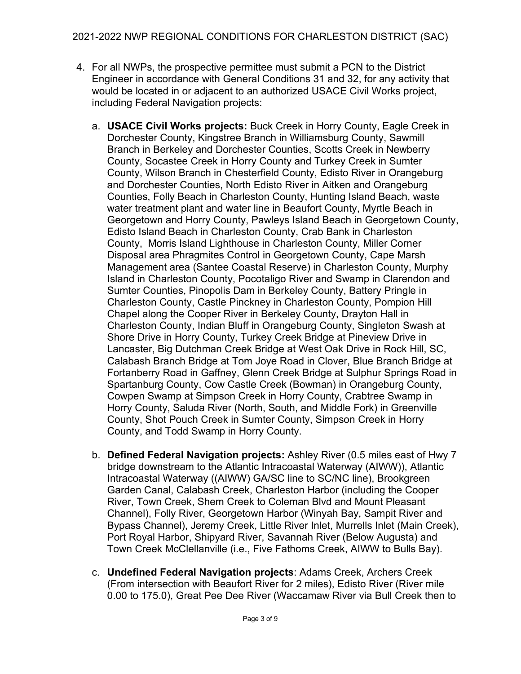- 4. For all NWPs, the prospective permittee must submit a PCN to the District Engineer in accordance with General Conditions 31 and 32, for any activity that would be located in or adjacent to an authorized USACE Civil Works project, including Federal Navigation projects:
	- a. **USACE Civil Works projects:** Buck Creek in Horry County, Eagle Creek in Dorchester County, Kingstree Branch in Williamsburg County, Sawmill Branch in Berkeley and Dorchester Counties, Scotts Creek in Newberry County, Socastee Creek in Horry County and Turkey Creek in Sumter County, Wilson Branch in Chesterfield County, Edisto River in Orangeburg and Dorchester Counties, North Edisto River in Aitken and Orangeburg Counties, Folly Beach in Charleston County, Hunting Island Beach, waste water treatment plant and water line in Beaufort County, Myrtle Beach in Georgetown and Horry County, Pawleys Island Beach in Georgetown County, Edisto Island Beach in Charleston County, Crab Bank in Charleston County, Morris Island Lighthouse in Charleston County, Miller Corner Disposal area Phragmites Control in Georgetown County, Cape Marsh Management area (Santee Coastal Reserve) in Charleston County, Murphy Island in Charleston County, Pocotaligo River and Swamp in Clarendon and Sumter Counties, Pinopolis Dam in Berkeley County, Battery Pringle in Charleston County, Castle Pinckney in Charleston County, Pompion Hill Chapel along the Cooper River in Berkeley County, Drayton Hall in Charleston County, Indian Bluff in Orangeburg County, Singleton Swash at Shore Drive in Horry County, Turkey Creek Bridge at Pineview Drive in Lancaster, Big Dutchman Creek Bridge at West Oak Drive in Rock Hill, SC, Calabash Branch Bridge at Tom Joye Road in Clover, Blue Branch Bridge at Fortanberry Road in Gaffney, Glenn Creek Bridge at Sulphur Springs Road in Spartanburg County, Cow Castle Creek (Bowman) in Orangeburg County, Cowpen Swamp at Simpson Creek in Horry County, Crabtree Swamp in Horry County, Saluda River (North, South, and Middle Fork) in Greenville County, Shot Pouch Creek in Sumter County, Simpson Creek in Horry County, and Todd Swamp in Horry County.
	- b. **Defined Federal Navigation projects:** Ashley River (0.5 miles east of Hwy 7 bridge downstream to the Atlantic Intracoastal Waterway (AIWW)), Atlantic Intracoastal Waterway ((AIWW) GA/SC line to SC/NC line), Brookgreen Garden Canal, Calabash Creek, Charleston Harbor (including the Cooper River, Town Creek, Shem Creek to Coleman Blvd and Mount Pleasant Channel), Folly River, Georgetown Harbor (Winyah Bay, Sampit River and Bypass Channel), Jeremy Creek, Little River Inlet, Murrells Inlet (Main Creek), Port Royal Harbor, Shipyard River, Savannah River (Below Augusta) and Town Creek McClellanville (i.e., Five Fathoms Creek, AIWW to Bulls Bay).
	- c. **Undefined Federal Navigation projects**: Adams Creek, Archers Creek (From intersection with Beaufort River for 2 miles), Edisto River (River mile 0.00 to 175.0), Great Pee Dee River (Waccamaw River via Bull Creek then to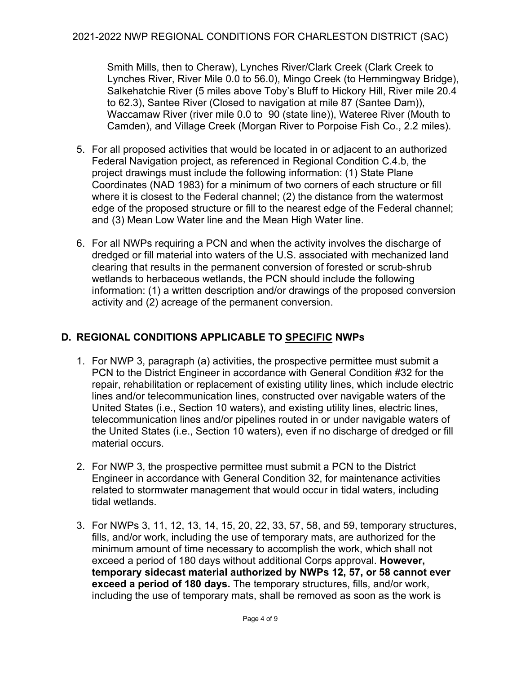Smith Mills, then to Cheraw), Lynches River/Clark Creek (Clark Creek to Lynches River, River Mile 0.0 to 56.0), Mingo Creek (to Hemmingway Bridge), Salkehatchie River (5 miles above Toby's Bluff to Hickory Hill, River mile 20.4 to 62.3), Santee River (Closed to navigation at mile 87 (Santee Dam)), Waccamaw River (river mile 0.0 to 90 (state line)), Wateree River (Mouth to Camden), and Village Creek (Morgan River to Porpoise Fish Co., 2.2 miles).

- 5. For all proposed activities that would be located in or adjacent to an authorized Federal Navigation project, as referenced in Regional Condition C.4.b, the project drawings must include the following information: (1) State Plane Coordinates (NAD 1983) for a minimum of two corners of each structure or fill where it is closest to the Federal channel; (2) the distance from the watermost edge of the proposed structure or fill to the nearest edge of the Federal channel; and (3) Mean Low Water line and the Mean High Water line.
- 6. For all NWPs requiring a PCN and when the activity involves the discharge of dredged or fill material into waters of the U.S. associated with mechanized land clearing that results in the permanent conversion of forested or scrub-shrub wetlands to herbaceous wetlands, the PCN should include the following information: (1) a written description and/or drawings of the proposed conversion activity and (2) acreage of the permanent conversion.

## **D. REGIONAL CONDITIONS APPLICABLE TO SPECIFIC NWPs**

- 1. For NWP 3, paragraph (a) activities, the prospective permittee must submit a PCN to the District Engineer in accordance with General Condition #32 for the repair, rehabilitation or replacement of existing utility lines, which include electric lines and/or telecommunication lines, constructed over navigable waters of the United States (i.e., Section 10 waters), and existing utility lines, electric lines, telecommunication lines and/or pipelines routed in or under navigable waters of the United States (i.e., Section 10 waters), even if no discharge of dredged or fill material occurs.
- 2. For NWP 3, the prospective permittee must submit a PCN to the District Engineer in accordance with General Condition 32, for maintenance activities related to stormwater management that would occur in tidal waters, including tidal wetlands.
- 3. For NWPs 3, 11, 12, 13, 14, 15, 20, 22, 33, 57, 58, and 59, temporary structures, fills, and/or work, including the use of temporary mats, are authorized for the minimum amount of time necessary to accomplish the work, which shall not exceed a period of 180 days without additional Corps approval. **However, temporary sidecast material authorized by NWPs 12, 57, or 58 cannot ever exceed a period of 180 days.** The temporary structures, fills, and/or work, including the use of temporary mats, shall be removed as soon as the work is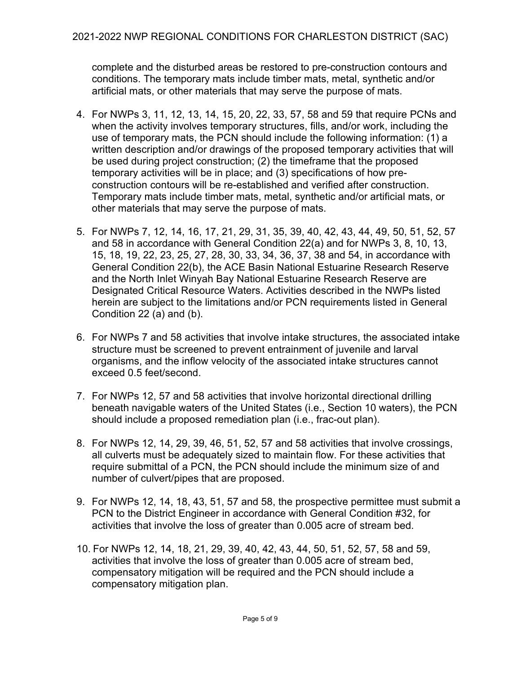complete and the disturbed areas be restored to pre-construction contours and conditions. The temporary mats include timber mats, metal, synthetic and/or artificial mats, or other materials that may serve the purpose of mats.

- 4. For NWPs 3, 11, 12, 13, 14, 15, 20, 22, 33, 57, 58 and 59 that require PCNs and when the activity involves temporary structures, fills, and/or work, including the use of temporary mats, the PCN should include the following information: (1) a written description and/or drawings of the proposed temporary activities that will be used during project construction; (2) the timeframe that the proposed temporary activities will be in place; and (3) specifications of how preconstruction contours will be re-established and verified after construction. Temporary mats include timber mats, metal, synthetic and/or artificial mats, or other materials that may serve the purpose of mats.
- 5. For NWPs 7, 12, 14, 16, 17, 21, 29, 31, 35, 39, 40, 42, 43, 44, 49, 50, 51, 52, 57 and 58 in accordance with General Condition 22(a) and for NWPs 3, 8, 10, 13, 15, 18, 19, 22, 23, 25, 27, 28, 30, 33, 34, 36, 37, 38 and 54, in accordance with General Condition 22(b), the ACE Basin National Estuarine Research Reserve and the North Inlet Winyah Bay National Estuarine Research Reserve are Designated Critical Resource Waters. Activities described in the NWPs listed herein are subject to the limitations and/or PCN requirements listed in General Condition 22 (a) and (b).
- 6. For NWPs 7 and 58 activities that involve intake structures, the associated intake structure must be screened to prevent entrainment of juvenile and larval organisms, and the inflow velocity of the associated intake structures cannot exceed 0.5 feet/second.
- 7. For NWPs 12, 57 and 58 activities that involve horizontal directional drilling beneath navigable waters of the United States (i.e., Section 10 waters), the PCN should include a proposed remediation plan (i.e., frac-out plan).
- 8. For NWPs 12, 14, 29, 39, 46, 51, 52, 57 and 58 activities that involve crossings, all culverts must be adequately sized to maintain flow. For these activities that require submittal of a PCN, the PCN should include the minimum size of and number of culvert/pipes that are proposed.
- 9. For NWPs 12, 14, 18, 43, 51, 57 and 58, the prospective permittee must submit a PCN to the District Engineer in accordance with General Condition #32, for activities that involve the loss of greater than 0.005 acre of stream bed.
- 10. For NWPs 12, 14, 18, 21, 29, 39, 40, 42, 43, 44, 50, 51, 52, 57, 58 and 59, activities that involve the loss of greater than 0.005 acre of stream bed, compensatory mitigation will be required and the PCN should include a compensatory mitigation plan.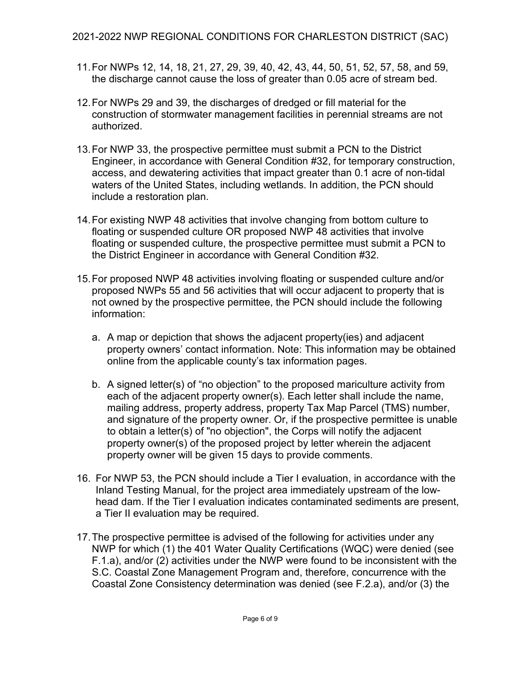- 11.For NWPs 12, 14, 18, 21, 27, 29, 39, 40, 42, 43, 44, 50, 51, 52, 57, 58, and 59, the discharge cannot cause the loss of greater than 0.05 acre of stream bed.
- 12.For NWPs 29 and 39, the discharges of dredged or fill material for the construction of stormwater management facilities in perennial streams are not authorized.
- 13.For NWP 33, the prospective permittee must submit a PCN to the District Engineer, in accordance with General Condition #32, for temporary construction, access, and dewatering activities that impact greater than 0.1 acre of non-tidal waters of the United States, including wetlands. In addition, the PCN should include a restoration plan.
- 14.For existing NWP 48 activities that involve changing from bottom culture to floating or suspended culture OR proposed NWP 48 activities that involve floating or suspended culture, the prospective permittee must submit a PCN to the District Engineer in accordance with General Condition #32.
- 15.For proposed NWP 48 activities involving floating or suspended culture and/or proposed NWPs 55 and 56 activities that will occur adjacent to property that is not owned by the prospective permittee, the PCN should include the following information:
	- a. A map or depiction that shows the adjacent property(ies) and adjacent property owners' contact information. Note: This information may be obtained online from the applicable county's tax information pages.
	- b. A signed letter(s) of "no objection" to the proposed mariculture activity from each of the adjacent property owner(s). Each letter shall include the name, mailing address, property address, property Tax Map Parcel (TMS) number, and signature of the property owner. Or, if the prospective permittee is unable to obtain a letter(s) of "no objection", the Corps will notify the adjacent property owner(s) of the proposed project by letter wherein the adjacent property owner will be given 15 days to provide comments.
- 16. For NWP 53, the PCN should include a Tier I evaluation, in accordance with the Inland Testing Manual, for the project area immediately upstream of the lowhead dam. If the Tier I evaluation indicates contaminated sediments are present, a Tier II evaluation may be required.
- 17.The prospective permittee is advised of the following for activities under any NWP for which (1) the 401 Water Quality Certifications (WQC) were denied (see F.1.a), and/or (2) activities under the NWP were found to be inconsistent with the S.C. Coastal Zone Management Program and, therefore, concurrence with the Coastal Zone Consistency determination was denied (see F.2.a), and/or (3) the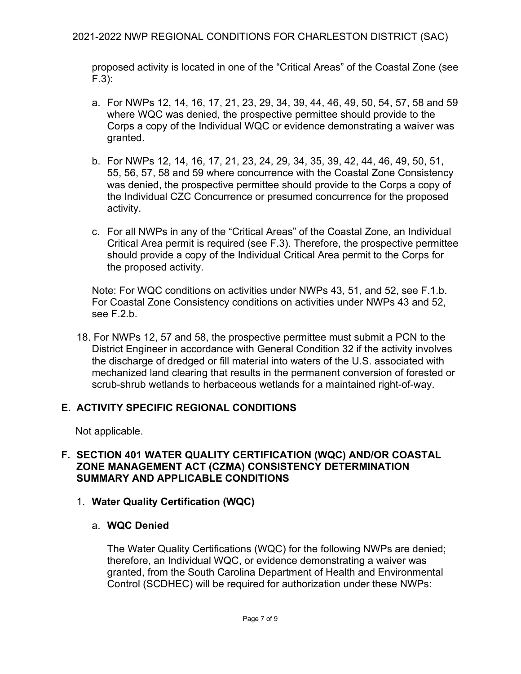proposed activity is located in one of the "Critical Areas" of the Coastal Zone (see F.3):

- a. For NWPs 12, 14, 16, 17, 21, 23, 29, 34, 39, 44, 46, 49, 50, 54, 57, 58 and 59 where WQC was denied, the prospective permittee should provide to the Corps a copy of the Individual WQC or evidence demonstrating a waiver was granted.
- b. For NWPs 12, 14, 16, 17, 21, 23, 24, 29, 34, 35, 39, 42, 44, 46, 49, 50, 51, 55, 56, 57, 58 and 59 where concurrence with the Coastal Zone Consistency was denied, the prospective permittee should provide to the Corps a copy of the Individual CZC Concurrence or presumed concurrence for the proposed activity.
- c. For all NWPs in any of the "Critical Areas" of the Coastal Zone, an Individual Critical Area permit is required (see F.3). Therefore, the prospective permittee should provide a copy of the Individual Critical Area permit to the Corps for the proposed activity.

Note: For WQC conditions on activities under NWPs 43, 51, and 52, see F.1.b. For Coastal Zone Consistency conditions on activities under NWPs 43 and 52, see F.2.b.

18. For NWPs 12, 57 and 58, the prospective permittee must submit a PCN to the District Engineer in accordance with General Condition 32 if the activity involves the discharge of dredged or fill material into waters of the U.S. associated with mechanized land clearing that results in the permanent conversion of forested or scrub-shrub wetlands to herbaceous wetlands for a maintained right-of-way.

## **E. ACTIVITY SPECIFIC REGIONAL CONDITIONS**

Not applicable.

## **F. SECTION 401 WATER QUALITY CERTIFICATION (WQC) AND/OR COASTAL ZONE MANAGEMENT ACT (CZMA) CONSISTENCY DETERMINATION SUMMARY AND APPLICABLE CONDITIONS**

- 1. **Water Quality Certification (WQC)**
	- a. **WQC Denied**

The Water Quality Certifications (WQC) for the following NWPs are denied; therefore, an Individual WQC, or evidence demonstrating a waiver was granted, from the South Carolina Department of Health and Environmental Control (SCDHEC) will be required for authorization under these NWPs: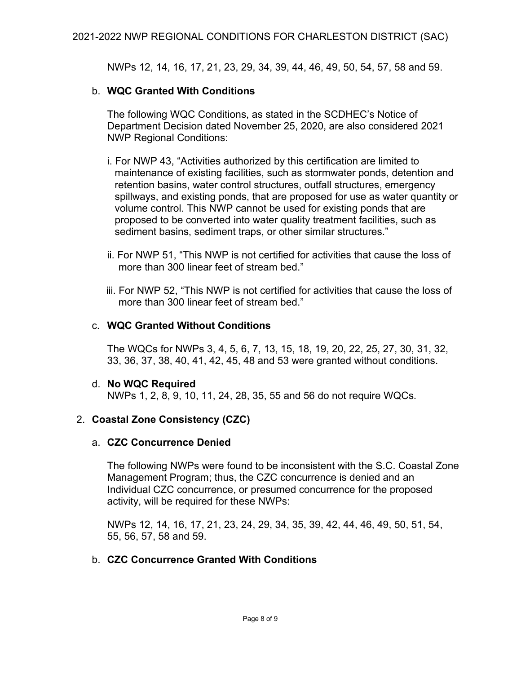NWPs 12, 14, 16, 17, 21, 23, 29, 34, 39, 44, 46, 49, 50, 54, 57, 58 and 59.

#### b. **WQC Granted With Conditions**

The following WQC Conditions, as stated in the SCDHEC's Notice of Department Decision dated November 25, 2020, are also considered 2021 NWP Regional Conditions:

- i. For NWP 43, "Activities authorized by this certification are limited to maintenance of existing facilities, such as stormwater ponds, detention and retention basins, water control structures, outfall structures, emergency spillways, and existing ponds, that are proposed for use as water quantity or volume control. This NWP cannot be used for existing ponds that are proposed to be converted into water quality treatment facilities, such as sediment basins, sediment traps, or other similar structures."
- ii. For NWP 51, "This NWP is not certified for activities that cause the loss of more than 300 linear feet of stream bed."
- iii. For NWP 52, "This NWP is not certified for activities that cause the loss of more than 300 linear feet of stream bed."

#### c. **WQC Granted Without Conditions**

The WQCs for NWPs 3, 4, 5, 6, 7, 13, 15, 18, 19, 20, 22, 25, 27, 30, 31, 32, 33, 36, 37, 38, 40, 41, 42, 45, 48 and 53 were granted without conditions.

#### d. **No WQC Required**

NWPs 1, 2, 8, 9, 10, 11, 24, 28, 35, 55 and 56 do not require WQCs.

#### 2. **Coastal Zone Consistency (CZC)**

#### a. **CZC Concurrence Denied**

The following NWPs were found to be inconsistent with the S.C. Coastal Zone Management Program; thus, the CZC concurrence is denied and an Individual CZC concurrence, or presumed concurrence for the proposed activity, will be required for these NWPs:

NWPs 12, 14, 16, 17, 21, 23, 24, 29, 34, 35, 39, 42, 44, 46, 49, 50, 51, 54, 55, 56, 57, 58 and 59.

#### b. **CZC Concurrence Granted With Conditions**